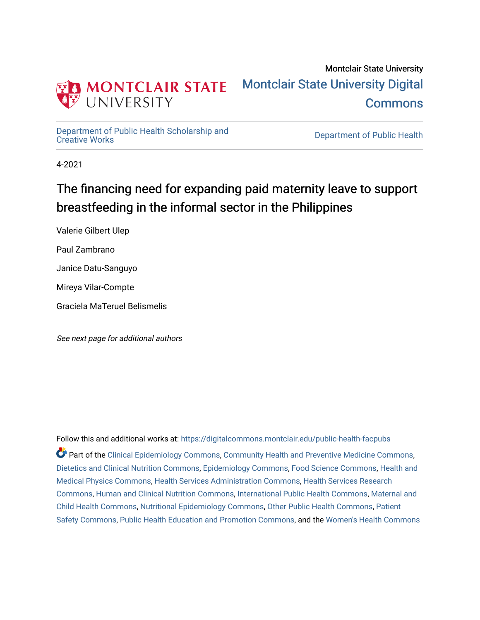

# Montclair State University [Montclair State University Digital](https://digitalcommons.montclair.edu/)  **Commons**

[Department of Public Health Scholarship and](https://digitalcommons.montclair.edu/public-health-facpubs) 

Department of Public Health

4-2021

# The financing need for expanding paid maternity leave to support breastfeeding in the informal sector in the Philippines

Valerie Gilbert Ulep Paul Zambrano Janice Datu-Sanguyo Mireya Vilar-Compte Graciela MaTeruel Belismelis

See next page for additional authors

Follow this and additional works at: [https://digitalcommons.montclair.edu/public-health-facpubs](https://digitalcommons.montclair.edu/public-health-facpubs?utm_source=digitalcommons.montclair.edu%2Fpublic-health-facpubs%2F212&utm_medium=PDF&utm_campaign=PDFCoverPages)  Part of the [Clinical Epidemiology Commons,](http://network.bepress.com/hgg/discipline/815?utm_source=digitalcommons.montclair.edu%2Fpublic-health-facpubs%2F212&utm_medium=PDF&utm_campaign=PDFCoverPages) [Community Health and Preventive Medicine Commons](http://network.bepress.com/hgg/discipline/744?utm_source=digitalcommons.montclair.edu%2Fpublic-health-facpubs%2F212&utm_medium=PDF&utm_campaign=PDFCoverPages), [Dietetics and Clinical Nutrition Commons,](http://network.bepress.com/hgg/discipline/662?utm_source=digitalcommons.montclair.edu%2Fpublic-health-facpubs%2F212&utm_medium=PDF&utm_campaign=PDFCoverPages) [Epidemiology Commons,](http://network.bepress.com/hgg/discipline/740?utm_source=digitalcommons.montclair.edu%2Fpublic-health-facpubs%2F212&utm_medium=PDF&utm_campaign=PDFCoverPages) [Food Science Commons,](http://network.bepress.com/hgg/discipline/84?utm_source=digitalcommons.montclair.edu%2Fpublic-health-facpubs%2F212&utm_medium=PDF&utm_campaign=PDFCoverPages) [Health and](http://network.bepress.com/hgg/discipline/741?utm_source=digitalcommons.montclair.edu%2Fpublic-health-facpubs%2F212&utm_medium=PDF&utm_campaign=PDFCoverPages) [Medical Physics Commons,](http://network.bepress.com/hgg/discipline/741?utm_source=digitalcommons.montclair.edu%2Fpublic-health-facpubs%2F212&utm_medium=PDF&utm_campaign=PDFCoverPages) [Health Services Administration Commons,](http://network.bepress.com/hgg/discipline/747?utm_source=digitalcommons.montclair.edu%2Fpublic-health-facpubs%2F212&utm_medium=PDF&utm_campaign=PDFCoverPages) [Health Services Research](http://network.bepress.com/hgg/discipline/816?utm_source=digitalcommons.montclair.edu%2Fpublic-health-facpubs%2F212&utm_medium=PDF&utm_campaign=PDFCoverPages) [Commons](http://network.bepress.com/hgg/discipline/816?utm_source=digitalcommons.montclair.edu%2Fpublic-health-facpubs%2F212&utm_medium=PDF&utm_campaign=PDFCoverPages), [Human and Clinical Nutrition Commons,](http://network.bepress.com/hgg/discipline/97?utm_source=digitalcommons.montclair.edu%2Fpublic-health-facpubs%2F212&utm_medium=PDF&utm_campaign=PDFCoverPages) [International Public Health Commons](http://network.bepress.com/hgg/discipline/746?utm_source=digitalcommons.montclair.edu%2Fpublic-health-facpubs%2F212&utm_medium=PDF&utm_campaign=PDFCoverPages), [Maternal and](http://network.bepress.com/hgg/discipline/745?utm_source=digitalcommons.montclair.edu%2Fpublic-health-facpubs%2F212&utm_medium=PDF&utm_campaign=PDFCoverPages)  [Child Health Commons,](http://network.bepress.com/hgg/discipline/745?utm_source=digitalcommons.montclair.edu%2Fpublic-health-facpubs%2F212&utm_medium=PDF&utm_campaign=PDFCoverPages) [Nutritional Epidemiology Commons,](http://network.bepress.com/hgg/discipline/100?utm_source=digitalcommons.montclair.edu%2Fpublic-health-facpubs%2F212&utm_medium=PDF&utm_campaign=PDFCoverPages) [Other Public Health Commons,](http://network.bepress.com/hgg/discipline/748?utm_source=digitalcommons.montclair.edu%2Fpublic-health-facpubs%2F212&utm_medium=PDF&utm_campaign=PDFCoverPages) [Patient](http://network.bepress.com/hgg/discipline/1410?utm_source=digitalcommons.montclair.edu%2Fpublic-health-facpubs%2F212&utm_medium=PDF&utm_campaign=PDFCoverPages) [Safety Commons,](http://network.bepress.com/hgg/discipline/1410?utm_source=digitalcommons.montclair.edu%2Fpublic-health-facpubs%2F212&utm_medium=PDF&utm_campaign=PDFCoverPages) [Public Health Education and Promotion Commons,](http://network.bepress.com/hgg/discipline/743?utm_source=digitalcommons.montclair.edu%2Fpublic-health-facpubs%2F212&utm_medium=PDF&utm_campaign=PDFCoverPages) and the [Women's Health Commons](http://network.bepress.com/hgg/discipline/1241?utm_source=digitalcommons.montclair.edu%2Fpublic-health-facpubs%2F212&utm_medium=PDF&utm_campaign=PDFCoverPages)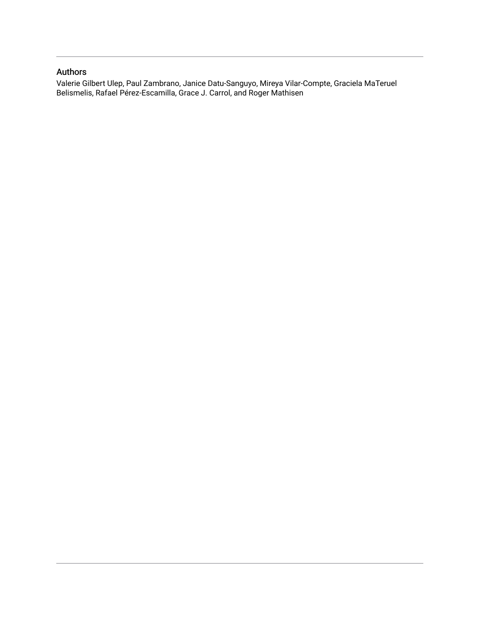# Authors

Valerie Gilbert Ulep, Paul Zambrano, Janice Datu-Sanguyo, Mireya Vilar-Compte, Graciela MaTeruel Belismelis, Rafael Pérez-Escamilla, Grace J. Carrol, and Roger Mathisen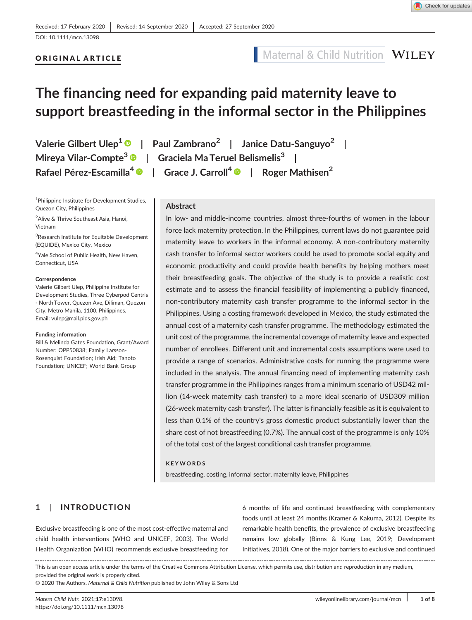[DOI: 10.1111/mcn.13098](https://doi.org/10.1111/mcn.13098)

# ORIGINAL ARTICLE

# Maternal & Child Nutrition WILEY

# **The financing need for expanding paid maternity leave to support breastfeeding in the informal sector in the Philippines**

<sup>1</sup>Philippine Institute for Development Studies, Quezon City, Philippines

2 Alive & Thrive Southeast Asia, Hanoi, Vietnam

<sup>3</sup>Research Institute for Equitable Development (EQUIDE), Mexico City, Mexico

<sup>4</sup>Yale School of Public Health, New Haven, Connecticut, USA

#### **Correspondence**

Valerie Gilbert Ulep, Philippine Institute for Development Studies, Three Cyberpod Centris - North Tower, Quezon Ave, Diliman, Quezon City, Metro Manila, 1100, Philippines. Email: [vulep@mail.pids.gov.ph](mailto:vulep@mail.pids.gov.ph)

### **Funding information**

Bill & Melinda Gates Foundation, Grant/Award Number: OPP50838; Family Larsson-Rosenquist Foundation; Irish Aid; Tanoto Foundation; UNICEF; World Bank Group

**Valerie Gilbert Ulep1 | Paul Zambrano<sup>2</sup> | Janice Datu-Sanguyo<sup>2</sup> | Mireya Vilar-Compte3 | Graciela Ma Teruel Belismelis<sup>3</sup> | Rafael Pérez-Escamilla<sup>4</sup> | Grace J. Carroll4 | Roger Mathisen2**

### **Abstract**

In low- and middle-income countries, almost three-fourths of women in the labour force lack maternity protection. In the Philippines, current laws do not guarantee paid maternity leave to workers in the informal economy. A non-contributory maternity cash transfer to informal sector workers could be used to promote social equity and economic productivity and could provide health benefits by helping mothers meet their breastfeeding goals. The objective of the study is to provide a realistic cost estimate and to assess the financial feasibility of implementing a publicly financed, non-contributory maternity cash transfer programme to the informal sector in the Philippines. Using a costing framework developed in Mexico, the study estimated the annual cost of a maternity cash transfer programme. The methodology estimated the unit cost of the programme, the incremental coverage of maternity leave and expected number of enrollees. Different unit and incremental costs assumptions were used to provide a range of scenarios. Administrative costs for running the programme were included in the analysis. The annual financing need of implementing maternity cash transfer programme in the Philippines ranges from a minimum scenario of USD42 million (14-week maternity cash transfer) to a more ideal scenario of USD309 million (26-week maternity cash transfer). The latter is financially feasible as it is equivalent to less than 0.1% of the country's gross domestic product substantially lower than the share cost of not breastfeeding (0.7%). The annual cost of the programme is only 10% of the total cost of the largest conditional cash transfer programme.

### **KEYWORDS**

breastfeeding, costing, informal sector, maternity leave, Philippines

## **1** | **INTRODUCTION**

Exclusive breastfeeding is one of the most cost-effective maternal and child health interventions (WHO and UNICEF, 2003). The World Health Organization (WHO) recommends exclusive breastfeeding for

6 months of life and continued breastfeeding with complementary foods until at least 24 months (Kramer & Kakuma, 2012). Despite its remarkable health benefits, the prevalence of exclusive breastfeeding remains low globally (Binns & Kung Lee, 2019; Development Initiatives, 2018). One of the major barriers to exclusive and continued

This is an open access article under the terms of the [Creative Commons Attribution](http://creativecommons.org/licenses/by/4.0/) License, which permits use, distribution and reproduction in any medium, provided the original work is properly cited.

© 2020 The Authors. *Maternal & Child Nutrition* published by John Wiley & Sons Ltd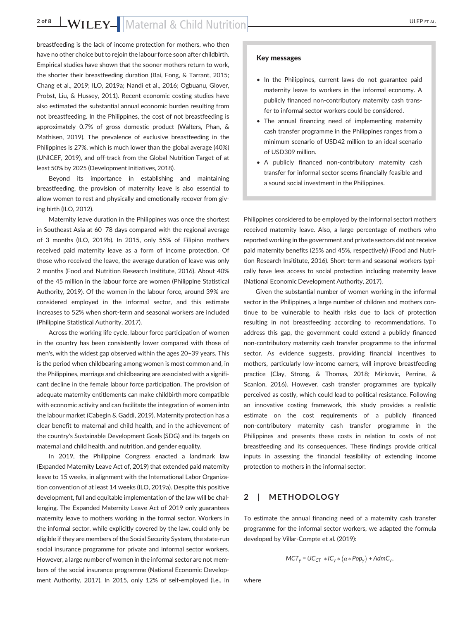breastfeeding is the lack of income protection for mothers, who then have no other choice but to rejoin the labour force soon after childbirth. Empirical studies have shown that the sooner mothers return to work, the shorter their breastfeeding duration (Bai, Fong, & Tarrant, 2015; Chang et al., 2019; ILO, 2019a; Nandi et al., 2016; Ogbuanu, Glover, Probst, Liu, & Hussey, 2011). Recent economic costing studies have also estimated the substantial annual economic burden resulting from not breastfeeding. In the Philippines, the cost of not breastfeeding is approximately 0.7% of gross domestic product (Walters, Phan, & Mathisen, 2019). The prevalence of exclusive breastfeeding in the Philippines is 27%, which is much lower than the global average (40%) (UNICEF, 2019), and off-track from the Global Nutrition Target of at least 50% by 2025 (Development Initiatives, 2018).

Beyond its importance in establishing and maintaining breastfeeding, the provision of maternity leave is also essential to allow women to rest and physically and emotionally recover from giving birth (ILO, 2012).

Maternity leave duration in the Philippines was once the shortest in Southeast Asia at 60–78 days compared with the regional average of 3 months (ILO, 2019b). In 2015, only 55% of Filipino mothers received paid maternity leave as a form of income protection. Of those who received the leave, the average duration of leave was only 2 months (Food and Nutrition Research Insititute, 2016). About 40% of the 45 million in the labour force are women (Philippine Statistical Authority, 2019). Of the women in the labour force, around 39% are considered employed in the informal sector, and this estimate increases to 52% when short-term and seasonal workers are included (Philippine Statistical Authority, 2017).

Across the working life cycle, labour force participation of women in the country has been consistently lower compared with those of men's, with the widest gap observed within the ages 20–39 years. This is the period when childbearing among women is most common and, in the Philippines, marriage and childbearing are associated with a significant decline in the female labour force participation. The provision of adequate maternity entitlements can make childbirth more compatible with economic activity and can facilitate the integration of women into the labour market (Cabegin & Gaddi, 2019). Maternity protection has a clear benefit to maternal and child health, and in the achievement of the country's Sustainable Development Goals (SDG) and its targets on maternal and child health, and nutrition, and gender equality.

In 2019, the Philippine Congress enacted a landmark law (Expanded Maternity Leave Act of, 2019) that extended paid maternity leave to 15 weeks, in alignment with the International Labor Organization convention of at least 14 weeks (ILO, 2019a). Despite this positive development, full and equitable implementation of the law will be challenging. The Expanded Maternity Leave Act of 2019 only guarantees maternity leave to mothers working in the formal sector. Workers in the informal sector, while explicitly covered by the law, could only be eligible if they are members of the Social Security System, the state-run social insurance programme for private and informal sector workers. However, a large number of women in the informal sector are not members of the social insurance programme (National Economic Development Authority, 2017). In 2015, only 12% of self-employed (i.e., in

# Key messages

- In the Philippines, current laws do not guarantee paid maternity leave to workers in the informal economy. A publicly financed non-contributory maternity cash transfer to informal sector workers could be considered.
- The annual financing need of implementing maternity cash transfer programme in the Philippines ranges from a minimum scenario of USD42 million to an ideal scenario of USD309 million.
- A publicly financed non-contributory maternity cash transfer for informal sector seems financially feasible and a sound social investment in the Philippines.

Philippines considered to be employed by the informal sector) mothers received maternity leave. Also, a large percentage of mothers who reported working in the government and private sectors did not receive paid maternity benefits (25% and 45%, respectively) (Food and Nutrition Research Insititute, 2016). Short-term and seasonal workers typically have less access to social protection including maternity leave (National Economic Development Authority, 2017).

Given the substantial number of women working in the informal sector in the Philippines, a large number of children and mothers continue to be vulnerable to health risks due to lack of protection resulting in not breastfeeding according to recommendations. To address this gap, the government could extend a publicly financed non-contributory maternity cash transfer programme to the informal sector. As evidence suggests, providing financial incentives to mothers, particularly low-income earners, will improve breastfeeding practice (Clay, Strong, & Thomas, 2018; Mirkovic, Perrine, & Scanlon, 2016). However, cash transfer programmes are typically perceived as costly, which could lead to political resistance. Following an innovative costing framework, this study provides a realistic estimate on the cost requirements of a publicly financed non-contributory maternity cash transfer programme in the Philippines and presents these costs in relation to costs of not breastfeeding and its consequences. These findings provide critical inputs in assessing the financial feasibility of extending income protection to mothers in the informal sector.

### **2** | **METHODOLOGY**

To estimate the annual financing need of a maternity cash transfer programme for the informal sector workers, we adapted the formula developed by Villar-Compte et al. (2019):

$$
MCT_y = UC_{CT} * IC_y * (\alpha * Pop_y) + AdmC_y,
$$

where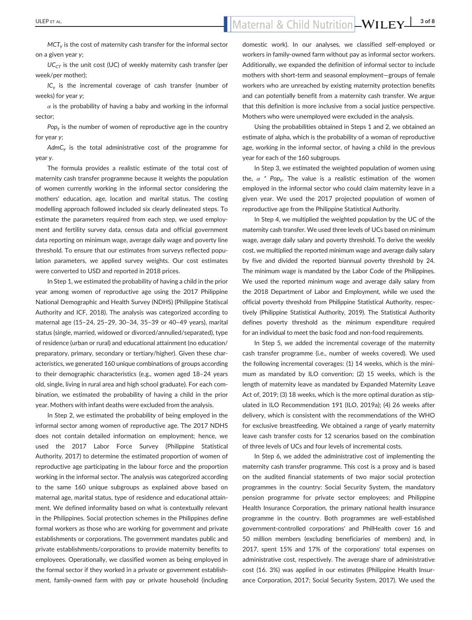# ULEP ET AL. bs\_bs\_banner **3 of 8**

*MCT<sub>y</sub>* is the cost of maternity cash transfer for the informal sector on a given year *y*;

*UC<sub>CT</sub>* is the unit cost (UC) of weekly maternity cash transfer (per week/per mother);

*ICy* is the incremental coverage of cash transfer (number of weeks) for year *y*;

 $\alpha$  is the probability of having a baby and working in the informal sector;

*Popy* is the number of women of reproductive age in the country for year *y*;

*AdmCy* is the total administrative cost of the programme for year *y*.

The formula provides a realistic estimate of the total cost of maternity cash transfer programme because it weights the population of women currently working in the informal sector considering the mothers' education, age, location and marital status. The costing modelling approach followed included six clearly delineated steps. To estimate the parameters required from each step, we used employment and fertility survey data, census data and official government data reporting on minimum wage, average daily wage and poverty line threshold. To ensure that our estimates from surveys reflected population parameters, we applied survey weights. Our cost estimates were converted to USD and reported in 2018 prices.

In Step 1, we estimated the probability of having a child in the prior year among women of reproductive age using the 2017 Philippine National Demographic and Health Survey (NDHS) (Philippine Statiscal Authority and ICF, 2018). The analysis was categorized according to maternal age (15–24, 25–29, 30–34, 35–39 or 40–49 years), marital status (single, married, widowed or divorced/annulled/separated), type of residence (urban or rural) and educational attainment (no education/ preparatory, primary, secondary or tertiary/higher). Given these characteristics, we generated 160 unique combinations of groups according to their demographic characteristics (e.g., women aged 18–24 years old, single, living in rural area and high school graduate). For each combination, we estimated the probability of having a child in the prior year. Mothers with infant deaths were excluded from the analysis.

In Step 2, we estimated the probability of being employed in the informal sector among women of reproductive age. The 2017 NDHS does not contain detailed information on employment; hence, we used the 2017 Labor Force Survey (Philippine Statistical Authority, 2017) to determine the estimated proportion of women of reproductive age participating in the labour force and the proportion working in the informal sector. The analysis was categorized according to the same 160 unique subgroups as explained above based on maternal age, marital status, type of residence and educational attainment. We defined informality based on what is contextually relevant in the Philippines. Social protection schemes in the Philippines define formal workers as those who are working for government and private establishments or corporations. The government mandates public and private establishments/corporations to provide maternity benefits to employees. Operationally, we classified women as being employed in the formal sector if they worked in a private or government establishment, family-owned farm with pay or private household (including

domestic work). In our analyses, we classified self-employed or workers in family-owned farm without pay as informal sector workers. Additionally, we expanded the definition of informal sector to include mothers with short-term and seasonal employment—groups of female workers who are unreached by existing maternity protection benefits and can potentially benefit from a maternity cash transfer. We argue that this definition is more inclusive from a social justice perspective. Mothers who were unemployed were excluded in the analysis.

Using the probabilities obtained in Steps 1 and 2, we obtained an estimate of alpha, which is the probability of a woman of reproductive age, working in the informal sector, of having a child in the previous year for each of the 160 subgroups.

In Step 3, we estimated the weighted population of women using the,  $\alpha$  <sup>\*</sup> Pop<sub>v</sub>. The value is a realistic estimation of the women employed in the informal sector who could claim maternity leave in a given year. We used the 2017 projected population of women of reproductive age from the Philippine Statistical Authority.

In Step 4, we multiplied the weighted population by the UC of the maternity cash transfer. We used three levels of UCs based on minimum wage, average daily salary and poverty threshold. To derive the weekly cost, we multiplied the reported minimum wage and average daily salary by five and divided the reported biannual poverty threshold by 24. The minimum wage is mandated by the Labor Code of the Philippines. We used the reported minimum wage and average daily salary from the 2018 Department of Labor and Employment, while we used the official poverty threshold from Philippine Statistical Authority, respectively (Philippine Statistical Authority, 2019). The Statistical Authority defines poverty threshold as the minimum expenditure required for an individual to meet the basic food and non-food requirements.

In Step 5, we added the incremental coverage of the maternity cash transfer programme (i.e., number of weeks covered). We used the following incremental coverages: (1) 14 weeks, which is the minimum as mandated by ILO convention; (2) 15 weeks, which is the length of maternity leave as mandated by Expanded Maternity Leave Act of, 2019; (3) 18 weeks, which is the more optimal duration as stipulated in ILO Recommendation 191 (ILO, 2019a); (4) 26 weeks after delivery, which is consistent with the recommendations of the WHO for exclusive breastfeeding. We obtained a range of yearly maternity leave cash transfer costs for 12 scenarios based on the combination of three levels of UCs and four levels of incremental costs.

In Step 6, we added the administrative cost of implementing the maternity cash transfer programme. This cost is a proxy and is based on the audited financial statements of two major social protection programmes in the country: Social Security System, the mandatory pension programme for private sector employees; and Philippine Health Insurance Corporation, the primary national health insurance programme in the country. Both programmes are well-established government-controlled corporations' and PhilHealth cover 16 and 50 million members (excluding beneficiaries of members) and, in 2017, spent 15% and 17% of the corporations' total expenses on administrative cost, respectively. The average share of administrative cost (16. 3%) was applied in our estimates (Philippine Health Insurance Corporation, 2017; Social Security System, 2017). We used the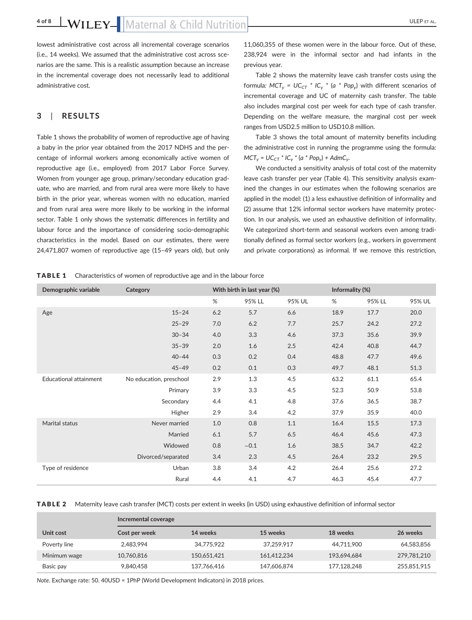lowest administrative cost across all incremental coverage scenarios (i.e., 14 weeks). We assumed that the administrative cost across scenarios are the same. This is a realistic assumption because an increase in the incremental coverage does not necessarily lead to additional administrative cost.

## **3** | **RESULTS**

Table 1 shows the probability of women of reproductive age of having a baby in the prior year obtained from the 2017 NDHS and the percentage of informal workers among economically active women of reproductive age (i.e., employed) from 2017 Labor Force Survey. Women from younger age group, primary/secondary education graduate, who are married, and from rural area were more likely to have birth in the prior year, whereas women with no education, married and from rural area were more likely to be working in the informal sector. Table 1 only shows the systematic differences in fertility and labour force and the importance of considering socio-demographic characteristics in the model. Based on our estimates, there were 24,471,807 women of reproductive age (15–49 years old), but only 11,060,355 of these women were in the labour force. Out of these, 238,924 were in the informal sector and had infants in the previous year.

Table 2 shows the maternity leave cash transfer costs using the formula:  $MCT_v = UC_{CT} * IC_v * (a * Pop_v)$  with different scenarios of incremental coverage and UC of maternity cash transfer. The table also includes marginal cost per week for each type of cash transfer. Depending on the welfare measure, the marginal cost per week ranges from USD2.5 million to USD10.8 million.

Table 3 shows the total amount of maternity benefits including the administrative cost in running the programme using the formula:  $MCT_v = UC_{CT} * IC_v * (a * Pop_v) + AdmC_v.$ 

We conducted a sensitivity analysis of total cost of the maternity leave cash transfer per year (Table 4). This sensitivity analysis examined the changes in our estimates when the following scenarios are applied in the model: (1) a less exhaustive definition of informality and (2) assume that 12% informal sector workers have maternity protection. In our analysis, we used an exhaustive definition of informality. We categorized short-term and seasonal workers even among traditionally defined as formal sector workers (e.g., workers in government and private corporations) as informal. If we remove this restriction,

TABLE 1 Characteristics of women of reproductive age and in the labour force

| Demographic variable   | Category                | With birth in last year (%) |        |        | Informality (%) |        |        |
|------------------------|-------------------------|-----------------------------|--------|--------|-----------------|--------|--------|
|                        |                         | %                           | 95% LL | 95% UL | %               | 95% LL | 95% UL |
| Age                    | $15 - 24$               | 6.2                         | 5.7    | 6.6    | 18.9            | 17.7   | 20.0   |
|                        | $25 - 29$               | 7.0                         | 6.2    | 7.7    | 25.7            | 24.2   | 27.2   |
|                        | $30 - 34$               | 4.0                         | 3.3    | 4.6    | 37.3            | 35.6   | 39.9   |
|                        | $35 - 39$               | 2.0                         | 1.6    | 2.5    | 42.4            | 40.8   | 44.7   |
|                        | $40 - 44$               | 0.3                         | 0.2    | 0.4    | 48.8            | 47.7   | 49.6   |
|                        | $45 - 49$               | 0.2                         | 0.1    | 0.3    | 49.7            | 48.1   | 51.3   |
| Educational attainment | No education, preschool | 2.9                         | 1.3    | 4.5    | 63.2            | 61.1   | 65.4   |
|                        | Primary                 | 3.9                         | 3.3    | 4.5    | 52.3            | 50.9   | 53.8   |
|                        | Secondary               | 4.4                         | 4.1    | 4.8    | 37.6            | 36.5   | 38.7   |
|                        | Higher                  | 2.9                         | 3.4    | 4.2    | 37.9            | 35.9   | 40.0   |
| Marital status         | Never married           | 1.0                         | 0.8    | 1.1    | 16.4            | 15.5   | 17.3   |
|                        | Married                 | 6.1                         | 5.7    | 6.5    | 46.4            | 45.6   | 47.3   |
|                        | Widowed                 | 0.8                         | $-0.1$ | 1.6    | 38.5            | 34.7   | 42.2   |
|                        | Divorced/separated      | 3.4                         | 2.3    | 4.5    | 26.4            | 23.2   | 29.5   |
| Type of residence      | Urban                   | 3.8                         | 3.4    | 4.2    | 26.4            | 25.6   | 27.2   |
|                        | Rural                   | 4.4                         | 4.1    | 4.7    | 46.3            | 45.4   | 47.7   |

### TABLE 2 Maternity leave cash transfer (MCT) costs per extent in weeks (in USD) using exhaustive definition of informal sector

|              |               | Incremental coverage |             |             |             |  |
|--------------|---------------|----------------------|-------------|-------------|-------------|--|
| Unit cost    | Cost per week | 14 weeks             | 15 weeks    | 18 weeks    | 26 weeks    |  |
| Poverty line | 2,483,994     | 34,775,922           | 37.259.917  | 44,711,900  | 64,583,856  |  |
| Minimum wage | 10,760,816    | 150.651.421          | 161.412.234 | 193.694.684 | 279,781,210 |  |
| Basic pay    | 9.840.458     | 137,766,416          | 147,606,874 | 177,128,248 | 255,851,915 |  |

*Note*. Exchange rate: 50. 40USD = 1PhP (World Development Indicators) in 2018 prices.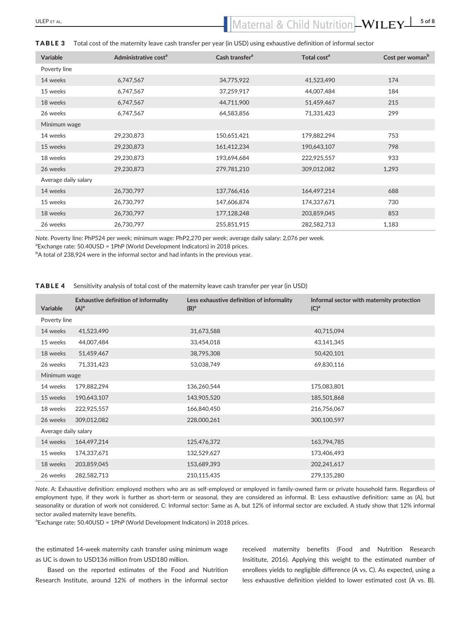| <b>Variable</b>      | Administrative cost <sup>a</sup> | Cash transfer <sup>a</sup> | Total cost <sup>a</sup> | Cost per woman <sup>b</sup> |
|----------------------|----------------------------------|----------------------------|-------------------------|-----------------------------|
| Poverty line         |                                  |                            |                         |                             |
| 14 weeks             | 6,747,567                        | 34,775,922                 | 41,523,490              | 174                         |
| 15 weeks             | 6,747,567                        | 37,259,917                 | 44,007,484              | 184                         |
| 18 weeks             | 6,747,567                        | 44,711,900                 | 51,459,467              | 215                         |
| 26 weeks             | 6,747,567                        | 64,583,856                 | 71,331,423              | 299                         |
| Minimum wage         |                                  |                            |                         |                             |
| 14 weeks             | 29,230,873                       | 150,651,421                | 179,882,294             | 753                         |
| 15 weeks             | 29,230,873                       | 161,412,234                | 190,643,107             | 798                         |
| 18 weeks             | 29,230,873                       | 193,694,684                | 222,925,557             | 933                         |
| 26 weeks             | 29,230,873                       | 279,781,210                | 309,012,082             | 1,293                       |
| Average daily salary |                                  |                            |                         |                             |
| 14 weeks             | 26,730,797                       | 137,766,416                | 164,497,214             | 688                         |
| 15 weeks             | 26,730,797                       | 147,606,874                | 174,337,671             | 730                         |
| 18 weeks             | 26,730,797                       | 177,128,248                | 203,859,045             | 853                         |
| 26 weeks             | 26,730,797                       | 255,851,915                | 282,582,713             | 1,183                       |
|                      |                                  |                            |                         |                             |

### TABLE 3 Total cost of the maternity leave cash transfer per year (in USD) using exhaustive definition of informal sector

*Note*. Poverty line: PhP524 per week; minimum wage: PhP2,270 per week; average daily salary: 2,076 per week.

<sup>a</sup> Exchange rate: 50.40USD = 1PhP (World Development Indicators) in 2018 prices.

 $^{\rm b}$ A total of 238,924 were in the informal sector and had infants in the previous year.

### TABLE 4 Sensitivity analysis of total cost of the maternity leave cash transfer per year (in USD)

| Variable             | Exhaustive definition of informality<br>$(A)^a$ | Less exhaustive definition of informality<br>$(B)^a$ | Informal sector with maternity protection<br>$(C)^a$ |  |  |  |
|----------------------|-------------------------------------------------|------------------------------------------------------|------------------------------------------------------|--|--|--|
| Poverty line         |                                                 |                                                      |                                                      |  |  |  |
| 14 weeks             | 41,523,490                                      | 31,673,588                                           | 40,715,094                                           |  |  |  |
| 15 weeks             | 44,007,484                                      | 33,454,018                                           | 43,141,345                                           |  |  |  |
| 18 weeks             | 51,459,467                                      | 38,795,308                                           | 50,420,101                                           |  |  |  |
| 26 weeks             | 71,331,423                                      | 53,038,749                                           | 69,830,116                                           |  |  |  |
| Minimum wage         |                                                 |                                                      |                                                      |  |  |  |
| 14 weeks             | 179,882,294                                     | 136,260,544                                          | 175,083,801                                          |  |  |  |
| 15 weeks             | 190,643,107                                     | 143,905,520                                          | 185,501,868                                          |  |  |  |
| 18 weeks             | 222,925,557                                     | 166,840,450                                          | 216,756,067                                          |  |  |  |
| 26 weeks             | 309,012,082                                     | 228,000,261                                          | 300,100,597                                          |  |  |  |
| Average daily salary |                                                 |                                                      |                                                      |  |  |  |
| 14 weeks             | 164,497,214                                     | 125,476,372                                          | 163,794,785                                          |  |  |  |
| 15 weeks             | 174,337,671                                     | 132,529,627                                          | 173,406,493                                          |  |  |  |
| 18 weeks             | 203,859,045                                     | 153,689,393                                          | 202,241,617                                          |  |  |  |
| 26 weeks             | 282,582,713                                     | 210,115,435                                          | 279,135,280                                          |  |  |  |

*Note*. A: Exhaustive definition: employed mothers who are as self-employed or employed in family-owned farm or private household farm. Regardless of employment type, if they work is further as short-term or seasonal, they are considered as informal. B: Less exhaustive definition: same as (A), but seasonality or duration of work not considered. C: Informal sector: Same as A, but 12% of informal sector are excluded. A study show that 12% informal sector availed maternity leave benefits.

<sup>a</sup> Exchange rate: 50.40USD = 1PhP (World Development Indicators) in 2018 prices.

the estimated 14-week maternity cash transfer using minimum wage as UC is down to USD136 million from USD180 million.

Based on the reported estimates of the Food and Nutrition Research Institute, around 12% of mothers in the informal sector received maternity benefits (Food and Nutrition Research Insititute, 2016). Applying this weight to the estimated number of enrollees yields to negligible difference (A vs. C). As expected, using a less exhaustive definition yielded to lower estimated cost (A vs. B).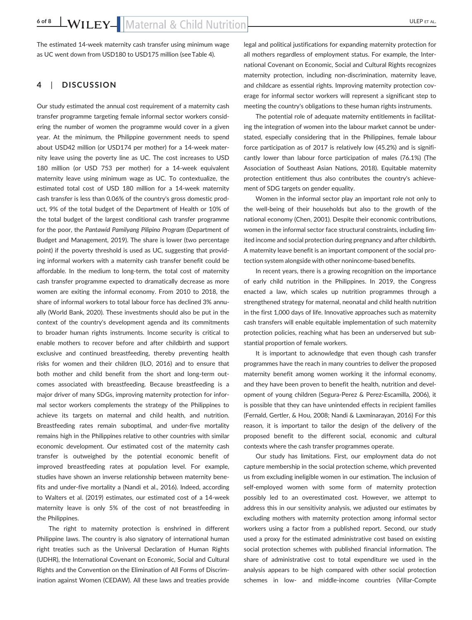The estimated 14-week maternity cash transfer using minimum wage as UC went down from USD180 to USD175 million (see Table 4).

## **4** | **DISCUSSION**

Our study estimated the annual cost requirement of a maternity cash transfer programme targeting female informal sector workers considering the number of women the programme would cover in a given year. At the minimum, the Philippine government needs to spend about USD42 million (or USD174 per mother) for a 14-week maternity leave using the poverty line as UC. The cost increases to USD 180 million (or USD 753 per mother) for a 14-week equivalent maternity leave using minimum wage as UC. To contextualize, the estimated total cost of USD 180 million for a 14-week maternity cash transfer is less than 0.06% of the country's gross domestic product, 9% of the total budget of the Department of Health or 10% of the total budget of the largest conditional cash transfer programme for the poor, the *Pantawid Pamilyang Pilipino Program* (Department of Budget and Management, 2019). The share is lower (two percentage point) if the poverty threshold is used as UC, suggesting that providing informal workers with a maternity cash transfer benefit could be affordable. In the medium to long-term, the total cost of maternity cash transfer programme expected to dramatically decrease as more women are exiting the informal economy. From 2010 to 2018, the share of informal workers to total labour force has declined 3% annually (World Bank, 2020). These investments should also be put in the context of the country's development agenda and its commitments to broader human rights instruments. Income security is critical to enable mothers to recover before and after childbirth and support exclusive and continued breastfeeding, thereby preventing health risks for women and their children (ILO, 2016) and to ensure that both mother and child benefit from the short and long-term outcomes associated with breastfeeding. Because breastfeeding is a major driver of many SDGs, improving maternity protection for informal sector workers complements the strategy of the Philippines to achieve its targets on maternal and child health, and nutrition. Breastfeeding rates remain suboptimal, and under-five mortality remains high in the Philippines relative to other countries with similar economic development. Our estimated cost of the maternity cash transfer is outweighed by the potential economic benefit of improved breastfeeding rates at population level. For example, studies have shown an inverse relationship between maternity benefits and under-five mortality a (Nandi et al., 2016). Indeed, according to Walters et al. (2019) estimates, our estimated cost of a 14-week maternity leave is only 5% of the cost of not breastfeeding in the Philippines.

The right to maternity protection is enshrined in different Philippine laws. The country is also signatory of international human right treaties such as the Universal Declaration of Human Rights (UDHR), the International Covenant on Economic, Social and Cultural Rights and the Convention on the Elimination of All Forms of Discrimination against Women (CEDAW). All these laws and treaties provide

legal and political justifications for expanding maternity protection for all mothers regardless of employment status. For example, the International Covenant on Economic, Social and Cultural Rights recognizes maternity protection, including non-discrimination, maternity leave, and childcare as essential rights. Improving maternity protection coverage for informal sector workers will represent a significant step to meeting the country's obligations to these human rights instruments.

The potential role of adequate maternity entitlements in facilitating the integration of women into the labour market cannot be understated, especially considering that in the Philippines, female labour force participation as of 2017 is relatively low (45.2%) and is significantly lower than labour force participation of males (76.1%) (The Association of Southeast Asian Nations, 2018). Equitable maternity protection entitlement thus also contributes the country's achievement of SDG targets on gender equality.

Women in the informal sector play an important role not only to the well-being of their households but also to the growth of the national economy (Chen, 2001). Despite their economic contributions, women in the informal sector face structural constraints, including limited income and social protection during pregnancy and after childbirth. A maternity leave benefit is an important component of the social protection system alongside with other nonincome-based benefits.

In recent years, there is a growing recognition on the importance of early child nutrition in the Philippines. In 2019, the Congress enacted a law, which scales up nutrition programmes through a strengthened strategy for maternal, neonatal and child health nutrition in the first 1,000 days of life. Innovative approaches such as maternity cash transfers will enable equitable implementation of such maternity protection policies, reaching what has been an underserved but substantial proportion of female workers.

It is important to acknowledge that even though cash transfer programmes have the reach in many countries to deliver the proposed maternity benefit among women working it the informal economy, and they have been proven to benefit the health, nutrition and development of young children (Segura-Perez & Perez-Escamilla, 2006), it is possible that they can have unintended effects in recipient families (Fernald, Gertler, & Hou, 2008; Nandi & Laxminarayan, 2016) For this reason, it is important to tailor the design of the delivery of the proposed benefit to the different social, economic and cultural contexts where the cash transfer programmes operate.

Our study has limitations. First, our employment data do not capture membership in the social protection scheme, which prevented us from excluding ineligible women in our estimation. The inclusion of self-employed women with some form of maternity protection possibly led to an overestimated cost. However, we attempt to address this in our sensitivity analysis, we adjusted our estimates by excluding mothers with maternity protection among informal sector workers using a factor from a published report. Second, our study used a proxy for the estimated administrative cost based on existing social protection schemes with published financial information. The share of administrative cost to total expenditure we used in the analysis appears to be high compared with other social protection schemes in low- and middle-income countries (Villar-Compte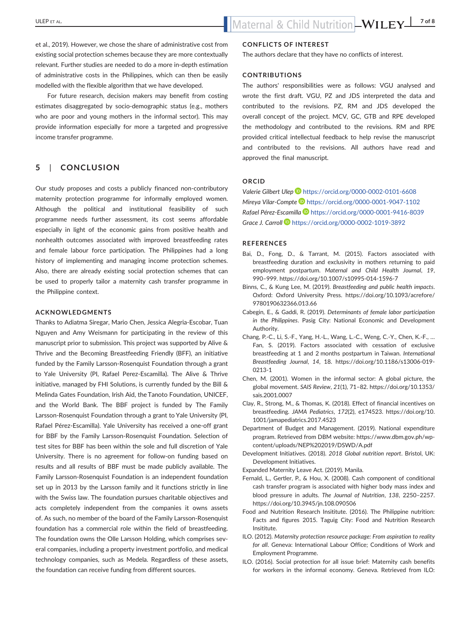et al., 2019). However, we chose the share of administrative cost from existing social protection schemes because they are more contextually relevant. Further studies are needed to do a more in-depth estimation of administrative costs in the Philippines, which can then be easily modelled with the flexible algorithm that we have developed.

For future research, decision makers may benefit from costing estimates disaggregated by socio-demographic status (e.g., mothers who are poor and young mothers in the informal sector). This may provide information especially for more a targeted and progressive income transfer programme.

## **5** | **CONCLUSION**

Our study proposes and costs a publicly financed non-contributory maternity protection programme for informally employed women. Although the political and institutional feasibility of such programme needs further assessment, its cost seems affordable especially in light of the economic gains from positive health and nonhealth outcomes associated with improved breastfeeding rates and female labour force participation. The Philippines had a long history of implementing and managing income protection schemes. Also, there are already existing social protection schemes that can be used to properly tailor a maternity cash transfer programme in the Philippine context.

### **ACKNOWLEDGMENTS**

Thanks to Adiatma Siregar, Mario Chen, Jessica Alegria-Escobar, Tuan Nguyen and Amy Weismann for participating in the review of this manuscript prior to submission. This project was supported by Alive & Thrive and the Becoming Breastfeeding Friendly (BFF), an initiative funded by the Family Larsson-Rosenquist Foundation through a grant to Yale University (PI, Rafael Perez-Escamilla). The Alive & Thrive initiative, managed by FHI Solutions, is currently funded by the Bill & Melinda Gates Foundation, Irish Aid, the Tanoto Foundation, UNICEF, and the World Bank. The BBF project is funded by The Family Larsson-Rosenquist Foundation through a grant to Yale University (PI, Rafael Pérez-Escamilla). Yale University has received a one-off grant for BBF by the Family Larsson-Rosenquist Foundation. Selection of test sites for BBF has been within the sole and full discretion of Yale University. There is no agreement for follow-on funding based on results and all results of BBF must be made publicly available. The Family Larsson-Rosenquist Foundation is an independent foundation set up in 2013 by the Larsson family and it functions strictly in line with the Swiss law. The foundation pursues charitable objectives and acts completely independent from the companies it owns assets of. As such, no member of the board of the Family Larsson-Rosenquist foundation has a commercial role within the field of breastfeeding. The foundation owns the Olle Larsson Holding, which comprises several companies, including a property investment portfolio, and medical technology companies, such as Medela. Regardless of these assets, the foundation can receive funding from different sources.

### **CONFLICTS OF INTEREST**

The authors declare that they have no conflicts of interest.

### **CONTRIBUTIONS**

The authors' responsibilities were as follows: VGU analysed and wrote the first draft. VGU, PZ and JDS interpreted the data and contributed to the revisions. PZ, RM and JDS developed the overall concept of the project. MCV, GC, GTB and RPE developed the methodology and contributed to the revisions. RM and RPE provided critical intellectual feedback to help revise the manuscript and contributed to the revisions. All authors have read and approved the final manuscript.

#### **ORCID**

*Valerie Gilbert Ulep* <https://orcid.org/0000-0002-0101-6608> *Mireya Vilar-Compte* <https://orcid.org/0000-0001-9047-1102> *Rafael Pérez-Escamilla* <https://orcid.org/0000-0001-9416-8039> *Grace J. Carroll* <https://orcid.org/0000-0002-1019-3892>

### **REFERENCES**

- Bai, D., Fong, D., & Tarrant, M. (2015). Factors associated with breastfeeding duration and exclusivity in mothers returning to paid employment postpartum. *Maternal and Child Health Journal*, *19*, 990–999.<https://doi.org/10.1007/s10995-014-1596-7>
- Binns, C., & Kung Lee, M. (2019). *Breastfeeding and public health impacts*. Oxford: Oxford University Press. [https://doi.org/10.1093/acrefore/](https://doi.org/10.1093/acrefore/9780190632366.013.66) [9780190632366.013.66](https://doi.org/10.1093/acrefore/9780190632366.013.66)
- Cabegin, E., & Gaddi, R. (2019). *Determinants of female labor participation in the Philippines*. Pasig City: National Economic and Development Authority.
- Chang, P.-C., Li, S.-F., Yang, H.-L., Wang, L.-C., Weng, C.-Y., Chen, K.-F., … Fan, S. (2019). Factors associated with cessation of exclusive breastfeeding at 1 and 2 months postpartum in Taiwan. *International Breastfeeding Journal*, *14*, 18. [https://doi.org/10.1186/s13006-019-](https://doi.org/10.1186/s13006-019-0213-1) [0213-1](https://doi.org/10.1186/s13006-019-0213-1)
- Chen, M. (2001). Women in the informal sector: A global picture, the global movement. *SAIS Review*, *21*(1), 71–82. [https://doi.org/10.1353/](https://doi.org/10.1353/sais.2001.0007) [sais.2001.0007](https://doi.org/10.1353/sais.2001.0007)
- Clay, R., Strong, M., & Thomas, K. (2018). Effect of financial incentives on breastfeeding. *JAMA Pediatrics*, *172*(2), e174523. [https://doi.org/10.](https://doi.org/10.1001/jamapediatrics.2017.4523) [1001/jamapediatrics.2017.4523](https://doi.org/10.1001/jamapediatrics.2017.4523)
- Department of Budget and Management. (2019). National expenditure program. Retrieved from DBM website: [https://www.dbm.gov.ph/wp](https://www.dbm.gov.ph/wp-content/uploads/NEP%202019/DSWD/A.pdf)[content/uploads/NEP%202019/DSWD/A.pdf](https://www.dbm.gov.ph/wp-content/uploads/NEP%202019/DSWD/A.pdf)
- Development Initiatives. (2018). *2018 Global nutrition report*. Bristol, UK: Development Initiatives.

Expanded Maternity Leave Act. (2019). Manila.

- Fernald, L., Gertler, P., & Hou, X. (2008). Cash component of conditional cash transfer program is associated with higher body mass index and blood pressure in adults. *The Journal of Nutrition*, *138*, 2250–2257. <https://doi.org/10.3945/jn.108.090506>
- Food and Nutrition Research Insititute. (2016). The Philippine nutrition: Facts and figures 2015. Taguig City: Food and Nutrition Research Insititute.
- ILO. (2012). *Maternity protection resource package: From aspiration to reality for all*. Geneva: International Labour Office; Conditions of Work and Employment Programme.
- ILO. (2016). Social protection for all issue brief: Maternity cash benefits for workers in the informal economy. Geneva. Retrieved from ILO: